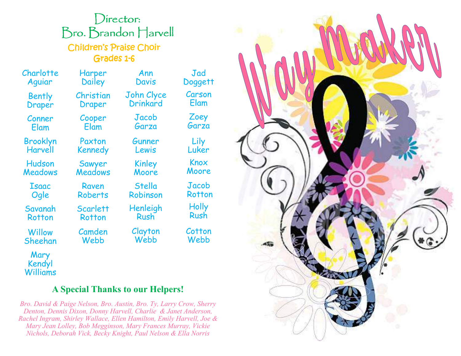## Director: Bro. Brandon Harvell **Children's Praise Choir** Grades 1-6

Ann Davis

Drinkard

Jacob Garza

Gunner Lewis

Kinley

Charlotte Aguiar

> **Bently** Draper

Conner Elam

Brooklyn Harvell

Hudson Meadows

Isaac Ogle Savanah

**Rotton Willow** 

Sheehan

Mary Kendyl Williams Christian Draper Cooper Elam Paxton Kennedy Sawyer John Clyce

Raven

**Scarlett Rotton** 

Camden Webb

Harper **Dailey** 

 Meadows Roberts Moore Stella Robinson

> Henleigh Rush

Clayton Webb

 Luker Knox Moore

Jad Doggett Carson Elam

> Zoey Garza

Lily

Jacob Rotton **Holly** Rush

**Cotton** Webb



## **A Special Thanks to our Helpers!**

*Bro. David & Paige Nelson, Bro. Austin, Bro. Ty, Larry Crow, Sherry Denton, Dennis Dixon, Donny Harvell, Charlie & Janet Anderson, Rachel Ingram, Shirley Wallace, Ellen Hamilton, Emily Harvell, Joe & Mary Jean Lolley, Bob Megginson, Mary Frances Murray, Vickie Nichols, Deborah Vick, Becky Knight, Paul Nelson & Ella Norris*